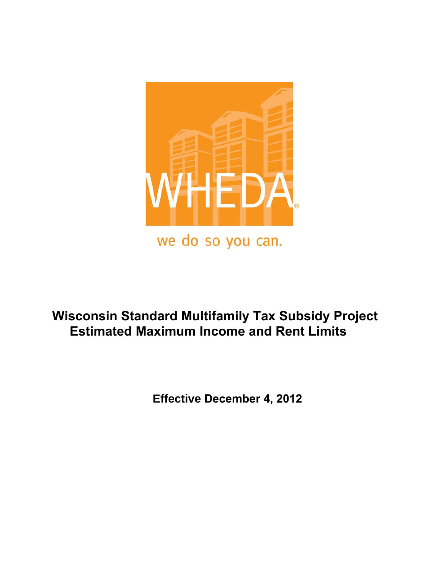

# **Wisconsin Standard Multifamily Tax Subsidy Project Estimated Maximum Income and Rent Limits**

 **Effective December 4, 2012**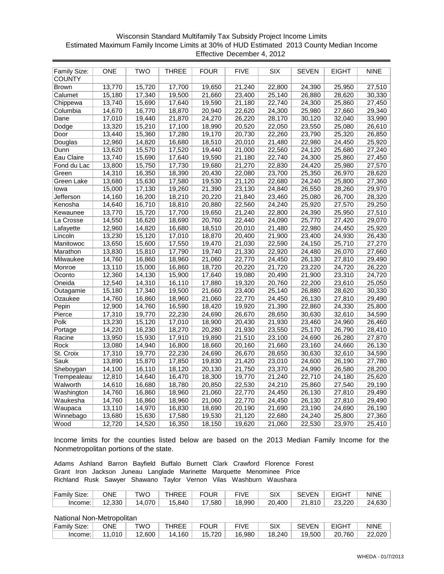# Wisconsin Standard Multifamily Tax Subsidy Project Income Limits Estimated Maximum Family Income Limits at 30% of HUD Estimated 2013 County Median Income Effective December 4, 2012

| Family Size:  | <b>ONE</b> | TWO    | THREE  | <b>FOUR</b> | <b>FIVE</b> | <b>SIX</b> | <b>SEVEN</b> | <b>EIGHT</b> | <b>NINE</b> |
|---------------|------------|--------|--------|-------------|-------------|------------|--------------|--------------|-------------|
| <b>COUNTY</b> |            |        |        |             |             |            |              |              |             |
| <b>Brown</b>  | 13,770     | 15,720 | 17,700 | 19,650      | 21,240      | 22,800     | 24,390       | 25,950       | 27,510      |
| Calumet       | 15,180     | 17,340 | 19,500 | 21,660      | 23,400      | 25,140     | 26,880       | 28,620       | 30,330      |
| Chippewa      | 13,740     | 15,690 | 17,640 | 19,590      | 21,180      | 22,740     | 24,300       | 25,860       | 27,450      |
| Columbia      | 14,670     | 16,770 | 18,870 | 20,940      | 22,620      | 24,300     | 25,980       | 27,660       | 29,340      |
| Dane          | 17,010     | 19,440 | 21,870 | 24,270      | 26,220      | 28,170     | 30,120       | 32,040       | 33,990      |
| Dodge         | 13,320     | 15,210 | 17,100 | 18,990      | 20,520      | 22,050     | 23,550       | 25,080       | 26,610      |
| Door          | 13,440     | 15,360 | 17,280 | 19,170      | 20,730      | 22,260     | 23,790       | 25,320       | 26,850      |
| Douglas       | 12,960     | 14,820 | 16,680 | 18,510      | 20,010      | 21,480     | 22,980       | 24,450       | 25,920      |
| Dunn          | 13,620     | 15,570 | 17,520 | 19,440      | 21,000      | 22,560     | 24,120       | 25,680       | 27,240      |
| Eau Claire    | 13,740     | 15,690 | 17,640 | 19,590      | 21,180      | 22,740     | 24,300       | 25,860       | 27,450      |
| Fond du Lac   | 13,800     | 15,750 | 17,730 | 19,680      | 21,270      | 22,830     | 24,420       | 25,980       | 27,570      |
| Green         | 14,310     | 16,350 | 18,390 | 20,430      | 22,080      | 23,700     | 25,350       | 26,970       | 28,620      |
| Green Lake    | 13,680     | 15,630 | 17,580 | 19,530      | 21,120      | 22,680     | 24,240       | 25,800       | 27,360      |
| lowa          | 15,000     | 17,130 | 19,260 | 21,390      | 23,130      | 24,840     | 26,550       | 28,260       | 29,970      |
| Jefferson     | 14,160     | 16,200 | 18,210 | 20,220      | 21,840      | 23,460     | 25,080       | 26,700       | 28,320      |
| Kenosha       | 14,640     | 16,710 | 18,810 | 20,880      | 22,560      | 24,240     | 25,920       | 27,570       | 29,250      |
| Kewaunee      | 13,770     | 15,720 | 17,700 | 19,650      | 21,240      | 22,800     | 24,390       | 25,950       | 27,510      |
| La Crosse     | 14,550     | 16,620 | 18,690 | 20,760      | 22,440      | 24,090     | 25,770       | 27,420       | 29,070      |
| Lafayette     | 12,960     | 14,820 | 16,680 | 18,510      | 20,010      | 21,480     | 22,980       | 24,450       | 25,920      |
| Lincoln       | 13,230     | 15,120 | 17,010 | 18,870      | 20,400      | 21,900     | 23,400       | 24,930       | 26,430      |
| Manitowoc     | 13,650     | 15,600 | 17,550 | 19,470      | 21,030      | 22,590     | 24,150       | 25,710       | 27,270      |
| Marathon      | 13,830     | 15,810 | 17,790 | 19,740      | 21,330      | 22,920     | 24,480       | 26,070       | 27,660      |
| Milwaukee     | 14,760     | 16,860 | 18,960 | 21,060      | 22,770      | 24,450     | 26,130       | 27,810       | 29,490      |
| Monroe        | 13,110     | 15,000 | 16,860 | 18,720      | 20,220      | 21,720     | 23,220       | 24,720       | 26,220      |
| Oconto        | 12,360     | 14,130 | 15,900 | 17,640      | 19,080      | 20,490     | 21,900       | 23,310       | 24,720      |
| Oneida        | 12,540     | 14,310 | 16,110 | 17,880      | 19,320      | 20,760     | 22,200       | 23,610       | 25,050      |
| Outagamie     | 15,180     | 17,340 | 19,500 | 21,660      | 23,400      | 25,140     | 26,880       | 28,620       | 30,330      |
| Ozaukee       | 14,760     | 16,860 | 18,960 | 21,060      | 22,770      | 24,450     | 26,130       | 27,810       | 29,490      |
| Pepin         | 12,900     | 14,760 | 16,590 | 18,420      | 19,920      | 21,390     | 22,860       | 24,330       | 25,800      |
| Pierce        | 17,310     | 19,770 | 22,230 | 24,690      | 26,670      | 28,650     | 30,630       | 32,610       | 34,590      |
| Polk          | 13,230     | 15,120 | 17,010 | 18,900      | 20,430      | 21,930     | 23,460       | 24,960       | 26,460      |
| Portage       | 14,220     | 16,230 | 18,270 | 20,280      | 21,930      | 23,550     | 25,170       | 26,790       | 28,410      |
| Racine        | 13,950     | 15,930 | 17,910 | 19,890      | 21,510      | 23,100     | 24,690       | 26,280       | 27,870      |
| Rock          | 13,080     | 14,940 | 16,800 | 18,660      | 20,160      | 21,660     | 23,160       | 24,660       | 26,130      |
| St. Croix     | 17,310     | 19,770 | 22,230 | 24,690      | 26,670      | 28,650     | 30,630       | 32,610       | 34,590      |
| Sauk          | 13,890     | 15,870 | 17,850 | 19,830      | 21,420      | 23,010     | 24,600       | 26,190       | 27,780      |
| Sheboygan     | 14,100     | 16,110 | 18,120 | 20,130      | 21,750      | 23,370     | 24,990       | 26,580       | 28,200      |
| Trempealeau   | 12,810     | 14,640 | 16,470 | 18,300      | 19,770      | 21,240     | 22,710       | 24,180       | 25,620      |
| Walworth      | 14,610     | 16,680 | 18,780 | 20,850      | 22,530      | 24,210     | 25,860       | 27,540       | 29,190      |
| Washington    | 14,760     | 16,860 | 18,960 | 21,060      | 22,770      | 24,450     | 26,130       | 27,810       | 29,490      |
| Waukesha      | 14,760     | 16,860 | 18,960 | 21,060      | 22,770      | 24,450     | 26,130       | 27,810       | 29,490      |
| Waupaca       | 13,110     | 14,970 | 16,830 | 18,690      | 20,190      | 21,690     | 23,190       | 24,690       | 26,190      |
| Winnebago     | 13,680     | 15,630 | 17,580 | 19,530      | 21,120      | 22,680     | 24,240       | 25,800       | 27,360      |
| Wood          | 12,720     | 14,520 | 16,350 | 18,150      | 19,620      | 21,060     | 22,530       | 23,970       | 25,410      |

Income limits for the counties listed below are based on the 2013 Median Family Income for the Nonmetropolitan portions of the state.

Adams Ashland Barron Bayfield Buffalo Burnett Clark Crawford Florence Forest Grant Iron Jackson Juneau Langlade Marinette Marquette Menominee Price Richland Rusk Sawyer Shawano Taylor Vernon Vilas Washburn Waushara

| Family Size: | ONE    | ™O     | <b>THREE</b> | <b>FOUR</b> | <b>FIVE</b> | SIX    | <b>SEVEN</b> | <b>EIGHT</b> | <b>NINE</b> |
|--------------|--------|--------|--------------|-------------|-------------|--------|--------------|--------------|-------------|
| Income:      | 12,330 | 14,070 | 15.840       | 17,580      | 18,990      | 20.400 | 21.810       | 23.220       | 24,630      |

| Family Size: | ONE          | TWO    | THREE  | <b>FOUR</b> | <b>FIVE</b> | SIX    | <b>SEVEN</b> | <b>EIGHT</b> | <b>NINE</b> |
|--------------|--------------|--------|--------|-------------|-------------|--------|--------------|--------------|-------------|
| Income:      | $0.010^{-7}$ | 12,600 | 14,160 | 15.720      | 16,980      | 18.240 | 19,500       | 20,760       | 22,020      |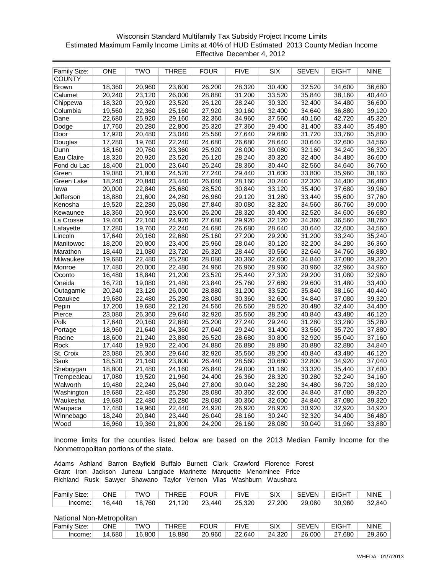#### Wisconsin Standard Multifamily Tax Subsidy Project Income Limits Estimated Maximum Family Income Limits at 40% of HUD Estimated 2013 County Median Income Effective December 4, 2012

| Family Size:  | <b>ONE</b> | <b>TWO</b> | THREE  | FOUR   | <b>FIVE</b> | <b>SIX</b> | <b>SEVEN</b> | EIGHT  | <b>NINE</b> |
|---------------|------------|------------|--------|--------|-------------|------------|--------------|--------|-------------|
| <b>COUNTY</b> |            |            |        |        |             |            |              |        |             |
| <b>Brown</b>  | 18,360     | 20,960     | 23,600 | 26,200 | 28,320      | 30,400     | 32,520       | 34,600 | 36,680      |
| Calumet       | 20,240     | 23,120     | 26,000 | 28,880 | 31,200      | 33,520     | 35,840       | 38,160 | 40,440      |
| Chippewa      | 18,320     | 20,920     | 23,520 | 26,120 | 28,240      | 30,320     | 32,400       | 34,480 | 36,600      |
| Columbia      | 19,560     | 22,360     | 25,160 | 27,920 | 30,160      | 32,400     | 34,640       | 36,880 | 39,120      |
| Dane          | 22,680     | 25,920     | 29,160 | 32,360 | 34,960      | 37,560     | 40,160       | 42,720 | 45,320      |
| Dodge         | 17,760     | 20,280     | 22,800 | 25,320 | 27,360      | 29,400     | 31,400       | 33,440 | 35,480      |
| Door          | 17,920     | 20,480     | 23,040 | 25,560 | 27,640      | 29,680     | 31,720       | 33,760 | 35,800      |
| Douglas       | 17,280     | 19,760     | 22,240 | 24,680 | 26,680      | 28,640     | 30,640       | 32,600 | 34,560      |
| Dunn          | 18,160     | 20,760     | 23,360 | 25,920 | 28,000      | 30,080     | 32,160       | 34,240 | 36,320      |
| Eau Claire    | 18,320     | 20,920     | 23,520 | 26,120 | 28,240      | 30,320     | 32,400       | 34,480 | 36,600      |
| Fond du Lac   | 18,400     | 21,000     | 23,640 | 26,240 | 28,360      | 30,440     | 32,560       | 34,640 | 36,760      |
| Green         | 19,080     | 21,800     | 24,520 | 27,240 | 29,440      | 31,600     | 33,800       | 35,960 | 38,160      |
| Green Lake    | 18,240     | 20,840     | 23,440 | 26,040 | 28,160      | 30,240     | 32,320       | 34,400 | 36,480      |
| lowa          | 20,000     | 22,840     | 25,680 | 28,520 | 30,840      | 33,120     | 35,400       | 37,680 | 39,960      |
| Jefferson     | 18,880     | 21,600     | 24,280 | 26,960 | 29,120      | 31,280     | 33,440       | 35,600 | 37,760      |
| Kenosha       | 19,520     | 22.280     | 25,080 | 27,840 | 30,080      | 32,320     | 34,560       | 36,760 | 39,000      |
| Kewaunee      | 18,360     | 20,960     | 23,600 | 26,200 | 28,320      | 30,400     | 32,520       | 34,600 | 36,680      |
| La Crosse     | 19,400     | 22,160     | 24,920 | 27,680 | 29,920      | 32,120     | 34,360       | 36,560 | 38,760      |
| Lafayette     | 17,280     | 19,760     | 22,240 | 24,680 | 26,680      | 28,640     | 30,640       | 32,600 | 34,560      |
| Lincoln       | 17,640     | 20,160     | 22,680 | 25,160 | 27,200      | 29,200     | 31,200       | 33,240 | 35,240      |
| Manitowoc     | 18,200     | 20,800     | 23,400 | 25,960 | 28,040      | 30,120     | 32,200       | 34,280 | 36,360      |
| Marathon      | 18,440     | 21,080     | 23,720 | 26,320 | 28,440      | 30,560     | 32,640       | 34,760 | 36,880      |
| Milwaukee     | 19,680     | 22,480     | 25,280 | 28,080 | 30,360      | 32,600     | 34,840       | 37,080 | 39,320      |
| Monroe        | 17,480     | 20,000     | 22,480 | 24,960 | 26,960      | 28,960     | 30,960       | 32,960 | 34,960      |
| Oconto        | 16,480     | 18,840     | 21,200 | 23,520 | 25,440      | 27,320     | 29,200       | 31,080 | 32,960      |
| Oneida        | 16,720     | 19,080     | 21,480 | 23,840 | 25,760      | 27,680     | 29,600       | 31,480 | 33,400      |
| Outagamie     | 20,240     | 23,120     | 26,000 | 28,880 | 31,200      | 33,520     | 35,840       | 38,160 | 40,440      |
| Ozaukee       | 19,680     | 22,480     | 25,280 | 28,080 | 30,360      | 32,600     | 34,840       | 37,080 | 39,320      |
| Pepin         | 17,200     | 19,680     | 22,120 | 24,560 | 26,560      | 28,520     | 30,480       | 32,440 | 34,400      |
| Pierce        | 23,080     | 26,360     | 29,640 | 32,920 | 35,560      | 38,200     | 40,840       | 43,480 | 46,120      |
| Polk          | 17,640     | 20,160     | 22,680 | 25,200 | 27,240      | 29,240     | 31,280       | 33,280 | 35,280      |
| Portage       | 18,960     | 21,640     | 24,360 | 27,040 | 29,240      | 31,400     | 33,560       | 35,720 | 37,880      |
| Racine        | 18,600     | 21,240     | 23,880 | 26,520 | 28,680      | 30,800     | 32,920       | 35,040 | 37,160      |
| Rock          | 17,440     | 19,920     | 22,400 | 24,880 | 26,880      | 28,880     | 30,880       | 32,880 | 34,840      |
| St. Croix     | 23,080     | 26,360     | 29,640 | 32,920 | 35,560      | 38,200     | 40,840       | 43,480 | 46,120      |
| Sauk          | 18,520     | 21,160     | 23,800 | 26,440 | 28,560      | 30,680     | 32,800       | 34,920 | 37,040      |
| Sheboygan     | 18,800     | 21,480     | 24,160 | 26,840 | 29,000      | 31,160     | 33,320       | 35,440 | 37,600      |
| Trempealeau   | 17,080     | 19,520     | 21,960 | 24,400 | 26,360      | 28,320     | 30,280       | 32,240 | 34,160      |
| Walworth      | 19,480     | 22,240     | 25,040 | 27,800 | 30,040      | 32,280     | 34,480       | 36,720 | 38,920      |
| Washington    | 19,680     | 22,480     | 25,280 | 28,080 | 30,360      | 32,600     | 34,840       | 37,080 | 39,320      |
| Waukesha      | 19,680     | 22,480     | 25,280 | 28,080 | 30,360      | 32,600     | 34,840       | 37,080 | 39,320      |
| Waupaca       | 17,480     | 19,960     | 22,440 | 24,920 | 26,920      | 28,920     | 30,920       | 32,920 | 34,920      |
| Winnebago     | 18,240     | 20,840     | 23,440 | 26,040 | 28,160      | 30,240     | 32,320       | 34,400 | 36,480      |
| Wood          | 16,960     | 19,360     | 21,800 | 24,200 | 26,160      | 28,080     | 30,040       | 31,960 | 33,880      |

Income limits for the counties listed below are based on the 2013 Median Family Income for the Nonmetropolitan portions of the state.

Adams Ashland Barron Bayfield Buffalo Burnett Clark Crawford Florence Forest Grant Iron Jackson Juneau Langlade Marinette Marquette Menominee Price Richland Rusk Sawyer Shawano Taylor Vernon Vilas Washburn Waushara

| Family Size:              | ONE.   | TWO    | <b>THREE</b> | <b>FOUR</b> | <b>FIVE</b> | <b>SIX</b> | <b>SEVEN</b> | <b>EIGHT</b> | <b>NINE</b> |  |  |
|---------------------------|--------|--------|--------------|-------------|-------------|------------|--------------|--------------|-------------|--|--|
| lncome:                   | 16.440 | 18.760 | 21.120       | 23.440      | 25.320      | 27.200     | 29.080       | 30.960       | 32,840      |  |  |
|                           |        |        |              |             |             |            |              |              |             |  |  |
| National Non-Metropolitan |        |        |              |             |             |            |              |              |             |  |  |
| Family Size:              | ONE    | TWO    | <b>THREE</b> | <b>FOUR</b> | <b>FIVE</b> | <b>SIX</b> | <b>SEVEN</b> | <b>EIGHT</b> | <b>NINE</b> |  |  |
| Income:                   | 14.680 | 16.800 | 18.880       | 20.960      | 22.640      | 24.320     | 26,000       | 27.680       | 29,360      |  |  |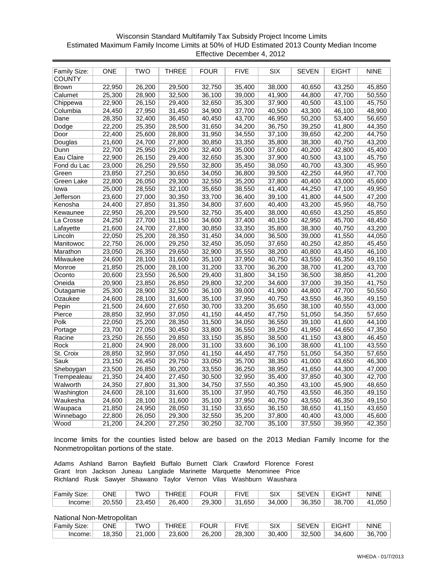# Wisconsin Standard Multifamily Tax Subsidy Project Income Limits Estimated Maximum Family Income Limits at 50% of HUD Estimated 2013 County Median Income Effective December 4, 2012

| Family Size:  | <b>ONE</b> | <b>TWO</b> | THREE  | <b>FOUR</b> | <b>FIVE</b> | <b>SIX</b> | <b>SEVEN</b> | <b>EIGHT</b> | <b>NINE</b> |
|---------------|------------|------------|--------|-------------|-------------|------------|--------------|--------------|-------------|
| <b>COUNTY</b> |            |            |        |             |             |            |              |              |             |
| <b>Brown</b>  | 22,950     | 26,200     | 29,500 | 32,750      | 35,400      | 38,000     | 40,650       | 43,250       | 45,850      |
| Calumet       | 25,300     | 28,900     | 32,500 | 36,100      | 39,000      | 41,900     | 44,800       | 47,700       | 50,550      |
| Chippewa      | 22,900     | 26,150     | 29,400 | 32,650      | 35,300      | 37,900     | 40,500       | 43,100       | 45,750      |
| Columbia      | 24,450     | 27,950     | 31,450 | 34,900      | 37,700      | 40,500     | 43,300       | 46,100       | 48,900      |
| Dane          | 28,350     | 32,400     | 36,450 | 40,450      | 43,700      | 46,950     | 50,200       | 53,400       | 56,650      |
| Dodge         | 22,200     | 25,350     | 28,500 | 31,650      | 34,200      | 36,750     | 39,250       | 41,800       | 44,350      |
| Door          | 22,400     | 25,600     | 28,800 | 31,950      | 34,550      | 37,100     | 39,650       | 42,200       | 44,750      |
| Douglas       | 21,600     | 24,700     | 27,800 | 30,850      | 33,350      | 35,800     | 38,300       | 40,750       | 43,200      |
| Dunn          | 22,700     | 25,950     | 29,200 | 32,400      | 35,000      | 37,600     | 40,200       | 42,800       | 45,400      |
| Eau Claire    | 22,900     | 26,150     | 29,400 | 32,650      | 35,300      | 37,900     | 40,500       | 43,100       | 45,750      |
| Fond du Lac   | 23,000     | 26,250     | 29,550 | 32,800      | 35,450      | 38,050     | 40,700       | 43,300       | 45,950      |
| Green         | 23,850     | 27,250     | 30,650 | 34,050      | 36,800      | 39,500     | 42,250       | 44,950       | 47,700      |
| Green Lake    | 22,800     | 26,050     | 29,300 | 32,550      | 35,200      | 37,800     | 40,400       | 43,000       | 45,600      |
| lowa          | 25,000     | 28,550     | 32,100 | 35,650      | 38,550      | 41,400     | 44,250       | 47,100       | 49,950      |
| Jefferson     | 23,600     | 27,000     | 30,350 | 33,700      | 36,400      | 39,100     | 41,800       | 44,500       | 47,200      |
| Kenosha       | 24,400     | 27,850     | 31,350 | 34,800      | 37,600      | 40,400     | 43,200       | 45,950       | 48,750      |
| Kewaunee      | 22,950     | 26,200     | 29,500 | 32,750      | 35,400      | 38,000     | 40,650       | 43,250       | 45,850      |
| La Crosse     | 24,250     | 27,700     | 31,150 | 34,600      | 37,400      | 40,150     | 42,950       | 45,700       | 48,450      |
| Lafayette     | 21,600     | 24,700     | 27,800 | 30,850      | 33,350      | 35,800     | 38,300       | 40,750       | 43,200      |
| Lincoln       | 22,050     | 25,200     | 28,350 | 31,450      | 34,000      | 36,500     | 39,000       | 41,550       | 44,050      |
| Manitowoc     | 22,750     | 26,000     | 29,250 | 32,450      | 35,050      | 37,650     | 40,250       | 42,850       | 45,450      |
| Marathon      | 23,050     | 26,350     | 29,650 | 32,900      | 35,550      | 38,200     | 40,800       | 43,450       | 46,100      |
| Milwaukee     | 24,600     | 28,100     | 31,600 | 35,100      | 37,950      | 40,750     | 43,550       | 46,350       | 49,150      |
| Monroe        | 21,850     | 25,000     | 28,100 | 31,200      | 33,700      | 36,200     | 38,700       | 41,200       | 43,700      |
| Oconto        | 20,600     | 23,550     | 26,500 | 29,400      | 31,800      | 34,150     | 36,500       | 38,850       | 41,200      |
| Oneida        | 20,900     | 23,850     | 26,850 | 29,800      | 32,200      | 34,600     | 37,000       | 39,350       | 41,750      |
| Outagamie     | 25,300     | 28,900     | 32,500 | 36,100      | 39,000      | 41,900     | 44,800       | 47,700       | 50,550      |
| Ozaukee       | 24,600     | 28,100     | 31,600 | 35,100      | 37,950      | 40,750     | 43,550       | 46,350       | 49,150      |
| Pepin         | 21,500     | 24,600     | 27,650 | 30,700      | 33,200      | 35,650     | 38,100       | 40,550       | 43,000      |
| Pierce        | 28,850     | 32,950     | 37,050 | 41,150      | 44,450      | 47,750     | 51,050       | 54,350       | 57,650      |
| Polk          | 22,050     | 25,200     | 28,350 | 31,500      | 34,050      | 36,550     | 39,100       | 41,600       | 44,100      |
| Portage       | 23,700     | 27,050     | 30,450 | 33,800      | 36,550      | 39,250     | 41,950       | 44,650       | 47,350      |
| Racine        | 23,250     | 26,550     | 29,850 | 33,150      | 35,850      | 38,500     | 41,150       | 43,800       | 46,450      |
| Rock          | 21,800     | 24,900     | 28,000 | 31,100      | 33,600      | 36,100     | 38,600       | 41,100       | 43,550      |
| St. Croix     | 28,850     | 32,950     | 37,050 | 41,150      | 44,450      | 47,750     | 51,050       | 54,350       | 57,650      |
| Sauk          | 23,150     | 26,450     | 29,750 | 33,050      | 35,700      | 38,350     | 41,000       | 43,650       | 46,300      |
| Sheboygan     | 23,500     | 26,850     | 30,200 | 33,550      | 36,250      | 38,950     | 41,650       | 44,300       | 47,000      |
| Trempealeau   | 21,350     | 24,400     | 27,450 | 30,500      | 32,950      | 35,400     | 37,850       | 40,300       | 42,700      |
| Walworth      | 24,350     | 27,800     | 31,300 | 34,750      | 37,550      | 40,350     | 43,100       | 45,900       | 48,650      |
| Washington    | 24,600     | 28,100     | 31,600 | 35,100      | 37,950      | 40,750     | 43,550       | 46,350       | 49,150      |
| Waukesha      | 24,600     | 28,100     | 31,600 | 35,100      | 37,950      | 40,750     | 43,550       | 46,350       | 49,150      |
| Waupaca       | 21,850     | 24,950     | 28,050 | 31,150      | 33,650      | 36,150     | 38,650       | 41,150       | 43,650      |
| Winnebago     | 22,800     | 26,050     | 29,300 | 32,550      | 35,200      | 37,800     | 40,400       | 43,000       | 45,600      |
| Wood          | 21,200     | 24,200     | 27,250 | 30,250      | 32,700      | 35,100     | 37,550       | 39,950       | 42,350      |

Income limits for the counties listed below are based on the 2013 Median Family Income for the Nonmetropolitan portions of the state.

Adams Ashland Barron Bayfield Buffalo Burnett Clark Crawford Florence Forest Grant Iron Jackson Juneau Langlade Marinette Marquette Menominee Price Richland Rusk Sawyer Shawano Taylor Vernon Vilas Washburn Waushara

| Family Size: | ONE    | ™O     | <b>HREE</b> | <b>FOUR</b> | <b>FIVE</b> | SIX    | <b>SEVEN</b> | <b>EIGHT</b> | <b>NINE</b> |
|--------------|--------|--------|-------------|-------------|-------------|--------|--------------|--------------|-------------|
| Income:      | 20.550 | 23.450 | 26.400      | 29,300      | 31.650      | 34.000 | 36.350       | 38.700       | 41,050      |

| Family Size: | ONE    | ™O     | <b>THREE</b> | <b>FOUR</b> | <b>FIVE</b> | SIX    | <b>SEVEN</b> | <b>EIGHT</b> | <b>NINE</b> |
|--------------|--------|--------|--------------|-------------|-------------|--------|--------------|--------------|-------------|
| Income:      | 18,350 | 21,000 | 23,600       | 26,200      | 28,300      | 30,400 | 32.500       | 34,600       | 36,700      |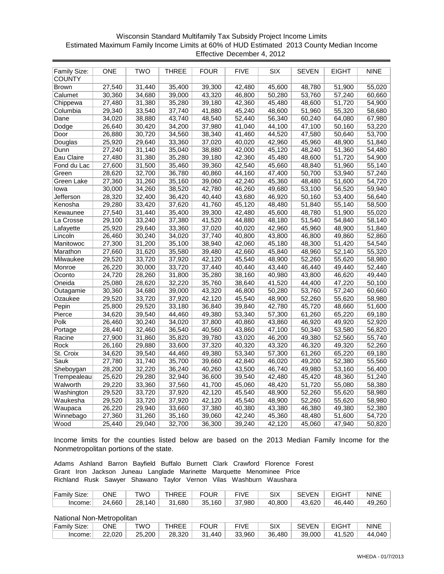# Wisconsin Standard Multifamily Tax Subsidy Project Income Limits Estimated Maximum Family Income Limits at 60% of HUD Estimated 2013 County Median Income Effective December 4, 2012

| Family Size:  | ONE    | TWO    | THREE  | <b>FOUR</b> | <b>FIVE</b> | <b>SIX</b> | <b>SEVEN</b> | EIGHT               | <b>NINE</b> |
|---------------|--------|--------|--------|-------------|-------------|------------|--------------|---------------------|-------------|
| <b>COUNTY</b> |        |        |        |             |             |            |              |                     |             |
| <b>Brown</b>  | 27,540 | 31,440 | 35,400 | 39,300      | 42,480      | 45,600     | 48,780       | 51,900              | 55,020      |
| Calumet       | 30,360 | 34,680 | 39,000 | 43,320      | 46,800      | 50,280     | 53,760       | 57,240              | 60,660      |
| Chippewa      | 27,480 | 31,380 | 35,280 | 39,180      | 42,360      | 45,480     | 48,600       | 51,720              | 54,900      |
| Columbia      | 29,340 | 33,540 | 37,740 | 41,880      | 45,240      | 48,600     | 51,960       | 55,320              | 58,680      |
| Dane          | 34,020 | 38,880 | 43,740 | 48,540      | 52,440      | 56,340     | 60,240       | 64,080              | 67,980      |
| Dodge         | 26,640 | 30,420 | 34,200 | 37,980      | 41,040      | 44,100     | 47,100       | 50,160              | 53,220      |
| Door          | 26,880 | 30,720 | 34,560 | 38,340      | 41,460      | 44,520     | 47,580       | 50,640              | 53,700      |
| Douglas       | 25,920 | 29,640 | 33,360 | 37,020      | 40,020      | 42,960     | 45,960       | 48,900              | 51,840      |
| Dunn          | 27,240 | 31,140 | 35,040 | 38,880      | 42,000      | 45,120     | 48,240       | 51,360              | 54,480      |
| Eau Claire    | 27,480 | 31,380 | 35,280 | 39,180      | 42,360      | 45,480     | 48,600       | 51,720              | 54,900      |
| Fond du Lac   | 27,600 | 31,500 | 35,460 | 39,360      | 42,540      | 45,660     | 48,840       | 51,960              | 55,140      |
| Green         | 28,620 | 32,700 | 36,780 | 40,860      | 44,160      | 47,400     | 50,700       | 53,940              | 57,240      |
| Green Lake    | 27,360 | 31,260 | 35,160 | 39,060      | 42,240      | 45,360     | 48,480       | 51,600              | 54,720      |
| lowa          | 30,000 | 34,260 | 38,520 | 42,780      | 46,260      | 49,680     | 53,100       | 56,520              | 59,940      |
| Jefferson     | 28,320 | 32,400 | 36,420 | 40,440      | 43,680      | 46,920     | 50,160       | 53,400              | 56,640      |
| Kenosha       | 29,280 | 33,420 | 37,620 | 41,760      | 45,120      | 48,480     | 51,840       | 55,140              | 58,500      |
| Kewaunee      | 27,540 | 31,440 | 35,400 | 39,300      | 42,480      | 45,600     | 48,780       | 51,900              | 55,020      |
| La Crosse     | 29,100 | 33,240 | 37,380 | 41,520      | 44,880      | 48,180     | 51,540       | 54,840              | 58,140      |
| Lafayette     | 25,920 | 29,640 | 33,360 | 37,020      | 40,020      | 42,960     | 45,960       | 48,900              | 51,840      |
| Lincoln       | 26,460 | 30,240 | 34,020 | 37,740      | 40,800      | 43,800     | 46,800       | 49,860              | 52,860      |
| Manitowoc     | 27,300 | 31,200 | 35,100 | 38,940      | 42,060      | 45,180     | 48,300       | 51,420              | 54,540      |
| Marathon      | 27,660 | 31,620 | 35,580 | 39,480      | 42,660      | 45,840     | 48,960       | $\overline{52,140}$ | 55,320      |
| Milwaukee     | 29,520 | 33,720 | 37,920 | 42,120      | 45,540      | 48,900     | 52,260       | 55,620              | 58,980      |
| Monroe        | 26,220 | 30,000 | 33,720 | 37,440      | 40,440      | 43,440     | 46,440       | 49,440              | 52,440      |
| Oconto        | 24,720 | 28,260 | 31,800 | 35,280      | 38,160      | 40,980     | 43,800       | 46,620              | 49,440      |
| Oneida        | 25,080 | 28,620 | 32,220 | 35,760      | 38,640      | 41,520     | 44,400       | 47,220              | 50,100      |
| Outagamie     | 30,360 | 34,680 | 39,000 | 43,320      | 46,800      | 50,280     | 53,760       | 57,240              | 60,660      |
| Ozaukee       | 29,520 | 33,720 | 37,920 | 42,120      | 45,540      | 48,900     | 52,260       | 55,620              | 58,980      |
| Pepin         | 25,800 | 29,520 | 33,180 | 36,840      | 39,840      | 42,780     | 45,720       | 48,660              | 51,600      |
| Pierce        | 34,620 | 39,540 | 44,460 | 49,380      | 53,340      | 57,300     | 61,260       | 65,220              | 69,180      |
| Polk          | 26,460 | 30,240 | 34,020 | 37,800      | 40,860      | 43,860     | 46,920       | 49,920              | 52,920      |
| Portage       | 28,440 | 32,460 | 36,540 | 40,560      | 43,860      | 47,100     | 50,340       | 53,580              | 56,820      |
| Racine        | 27,900 | 31,860 | 35,820 | 39,780      | 43,020      | 46,200     | 49,380       | 52,560              | 55,740      |
| Rock          | 26,160 | 29,880 | 33,600 | 37,320      | 40,320      | 43,320     | 46,320       | 49,320              | 52,260      |
| St. Croix     | 34,620 | 39,540 | 44,460 | 49,380      | 53,340      | 57,300     | 61,260       | 65,220              | 69,180      |
| Sauk          | 27,780 | 31,740 | 35,700 | 39,660      | 42,840      | 46,020     | 49,200       | 52,380              | 55,560      |
| Sheboygan     | 28,200 | 32,220 | 36,240 | 40,260      | 43,500      | 46,740     | 49,980       | 53,160              | 56,400      |
| Trempealeau   | 25,620 | 29,280 | 32,940 | 36,600      | 39,540      | 42,480     | 45,420       | 48,360              | 51,240      |
| Walworth      | 29,220 | 33,360 | 37,560 | 41,700      | 45,060      | 48,420     | 51,720       | 55,080              | 58,380      |
| Washington    | 29,520 | 33,720 | 37,920 | 42,120      | 45,540      | 48,900     | 52,260       | 55,620              | 58,980      |
| Waukesha      | 29,520 | 33,720 | 37,920 | 42,120      | 45,540      | 48,900     | 52,260       | 55,620              | 58,980      |
| Waupaca       | 26,220 | 29,940 | 33,660 | 37,380      | 40,380      | 43,380     | 46,380       | 49,380              | 52,380      |
| Winnebago     | 27,360 | 31,260 | 35,160 | 39,060      | 42,240      | 45,360     | 48,480       | 51,600              | 54,720      |
| Wood          | 25,440 | 29,040 | 32,700 | 36,300      | 39,240      | 42,120     | 45,060       | 47,940              | 50,820      |

Income limits for the counties listed below are based on the 2013 Median Family Income for the Nonmetropolitan portions of the state.

Adams Ashland Barron Bayfield Buffalo Burnett Clark Crawford Florence Forest Grant Iron Jackson Juneau Langlade Marinette Marquette Menominee Price Richland Rusk Sawyer Shawano Taylor Vernon Vilas Washburn Waushara

| Family Size: | ONE    | TWO    | <b>THREE</b> | <b>FOUR</b> | <b>FIVE</b> | SIX    | SEVEN  | <b>EIGHT</b> | <b>NINE</b>         |
|--------------|--------|--------|--------------|-------------|-------------|--------|--------|--------------|---------------------|
| Income:      | 24,660 | 28.140 | 31,680       | 35,160      | 37,980      | 40,800 | 43.620 | 46.440       | 49,260 <sup>∣</sup> |

| Family Size: | ONE    | ™O     | <b>THREE</b> | <b>FOUR</b> | <b>FIVE</b> | SIX    | <b>SEVEN</b> | <b>EIGHT</b> | <b>NINE</b> |
|--------------|--------|--------|--------------|-------------|-------------|--------|--------------|--------------|-------------|
| Income:      | 22.020 | 25,200 | 28,320       | 31.440      | 33,960      | 36.480 | 39.000       | 41,520       | 44,040      |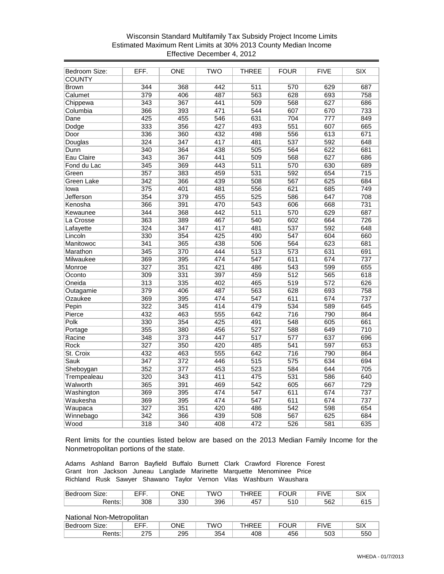# Wisconsin Standard Multifamily Tax Subsidy Project Income Limits Estimated Maximum Rent Limits at 30% 2013 County Median Income Effective December 4, 2012

| Bedroom Size:     | EFF.             | <b>ONE</b> | <b>TWO</b>       | <b>THREE</b>     | <b>FOUR</b>      | <b>FIVE</b>      | SIX              |
|-------------------|------------------|------------|------------------|------------------|------------------|------------------|------------------|
| <b>COUNTY</b>     |                  |            |                  |                  |                  |                  |                  |
| <b>Brown</b>      | $\overline{344}$ | 368        | 442              | 511              | 570              | 629              | 687              |
| Calumet           | 379              | 406        | 487              | 563              | 628              | 693              | 758              |
| Chippewa          | 343              | 367        | 441              | 509              | 568              | 627              | 686              |
| Columbia          | 366              | 393        | 471              | 544              | 607              | 670              | 733              |
| Dane              | 425              | 455        | 546              | 631              | 704              | $\overline{777}$ | 849              |
| Dodge             | 333              | 356        | 427              | 493              | 551              | 607              | 665              |
| Door              | 336              | 360        | 432              | 498              | 556              | 613              | 671              |
| Douglas           | $\overline{324}$ | 347        | 417              | 481              | 537              | 592              | 648              |
| Dunn              | 340              | 364        | 438              | 505              | 564              | 622              | 681              |
| Eau Claire        | $\overline{343}$ | 367        | 441              | 509              | 568              | 627              | 686              |
| Fond du Lac       | 345              | 369        | 443              | $\overline{511}$ | 570              | 630              | 689              |
| Green             | 357              | 383        | 459              | 531              | 592              | 654              | 715              |
| <b>Green Lake</b> | 342              | 366        | 439              | 508              | 567              | 625              | 684              |
| lowa              | 375              | 401        | 481              | 556              | 621              | 685              | 749              |
| <b>Jefferson</b>  | 354              | 379        | 455              | 525              | 586              | 647              | 708              |
| Kenosha           | 366              | 391        | 470              | 543              | 606              | 668              | 731              |
| Kewaunee          | 344              | 368        | 442              | 511              | 570              | 629              | 687              |
| La Crosse         | 363              | 389        | 467              | $\overline{540}$ | 602              | 664              | $\overline{726}$ |
| Lafayette         | $\overline{324}$ | 347        | 417              | 481              | 537              | 592              | 648              |
| Lincoln           | 330              | 354        | 425              | 490              | 547              | 604              | 660              |
| Manitowoc         | 341              | 365        | 438              | 506              | 564              | 623              | 681              |
| Marathon          | 345              | 370        | 444              | $\overline{513}$ | 573              | 631              | 691              |
| Milwaukee         | 369              | 395        | 474              | $\overline{547}$ | 611              | 674              | 737              |
| Monroe            | 327              | 351        | 421              | 486              | 543              | 599              | 655              |
| Oconto            | 309              | 331        | 397              | 459              | $\overline{512}$ | 565              | $\overline{618}$ |
| Oneida            | $\overline{313}$ | 335        | 402              | 465              | 519              | $\overline{572}$ | 626              |
| Outagamie         | 379              | 406        | 487              | 563              | 628              | 693              | 758              |
| Ozaukee           | 369              | 395        | 474              | $\overline{547}$ | $\overline{611}$ | 674              | 737              |
| Pepin             | 322              | 345        | 414              | 479              | 534              | 589              | 645              |
| Pierce            | 432              | 463        | $\overline{555}$ | 642              | $\overline{716}$ | 790              | 864              |
| Polk              | 330              | 354        | 425              | 491              | 548              | 605              | 661              |
| Portage           | 355              | 380        | 456              | 527              | 588              | 649              | 710              |
| Racine            | 348              | 373        | 447              | $\overline{517}$ | 577              | 637              | 696              |
| <b>Rock</b>       | 327              | 350        | 420              | 485              | 541              | 597              | 653              |
| St. Croix         | 432              | 463        | 555              | 642              | 716              | 790              | 864              |
| Sauk              | 347              | 372        | 446              | 515              | 575              | 634              | 694              |
| Sheboygan         | 352              | 377        | 453              | 523              | 584              | 644              | 705              |
| Trempealeau       | 320              | 343        | 411              | 475              | 531              | 586              | 640              |
| Walworth          | 365              | 391        | 469              | $\overline{542}$ | 605              | 667              | $\overline{729}$ |
| Washington        | 369              | 395        | 474              | 547              | 611              | 674              | 737              |
| Waukesha          | 369              | 395        | 474              | $\overline{547}$ | 611              | 674              | 737              |
| Waupaca           | 327              | 351        | 420              | 486              | 542              | 598              | 654              |
| Winnebago         | 342              | 366        | 439              | 508              | 567              | 625              | 684              |
| Wood              | 318              | 340        | 408              | 472              | $\overline{526}$ | 581              | 635              |

Rent limits for the counties listed below are based on the 2013 Median Family Income for the Nonmetropolitan portions of the state.

Adams Ashland Barron Bayfield Buffalo Burnett Clark Crawford Florence Forest Grant Iron Jackson Juneau Langlade Marinette Marquette Menominee Price Richland Rusk Sawyer Shawano Taylor Vernon Vilas Washburn Waushara

| <u>'n</u><br>⊺Bedr<br>Size:<br>'UUITI | ---<br>--<br>- | <u>_</u><br>)NF | <b>TWC</b> | $\sim$ $\sim$ $\sim$<br>нн<br>' ⊢ ⊢<br>໋ | $\cdots$ | $-11.1$<br>v<br><b>v</b> — | <b>011/</b><br>∧וט   |
|---------------------------------------|----------------|-----------------|------------|------------------------------------------|----------|----------------------------|----------------------|
| रents:                                | 308            | חכפ<br>აა∪      | 396        | .<br>τv                                  | U        | 562                        | $\sim$ $\sim$<br>∪∣ن |

| Be<br>Size:<br>. טטו | ----        | ONE | <b>TWC</b> | $\sim$ $-$<br>╌ | ----                | $- \cdots$<br>l V F | <b>CIV</b><br>∧וט |
|----------------------|-------------|-----|------------|-----------------|---------------------|---------------------|-------------------|
| ≀ante∙<br>.כוווג.    | つフド<br>ں ہے | 295 | 354        | 408             | $1 - \alpha$<br>456 | r oo<br>ასა         | ---<br>ວວບ        |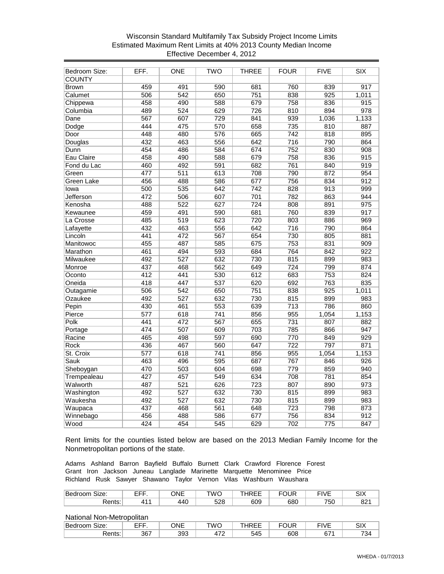# Wisconsin Standard Multifamily Tax Subsidy Project Income Limits Estimated Maximum Rent Limits at 40% 2013 County Median Income Effective December 4, 2012

| <b>Bedroom Size:</b> | EFF.             | <b>ONE</b>       | <b>TWO</b>       | <b>THREE</b>     | <b>FOUR</b>      | <b>FIVE</b>      | SIX              |
|----------------------|------------------|------------------|------------------|------------------|------------------|------------------|------------------|
| <b>COUNTY</b>        |                  |                  |                  |                  |                  |                  |                  |
| <b>Brown</b>         | 459              | 491              | 590              | 681              | 760              | 839              | 917              |
| Calumet              | 506              | $\overline{542}$ | 650              | $\overline{751}$ | 838              | $\overline{925}$ | 1,011            |
| Chippewa             | 458              | 490              | 588              | 679              | 758              | 836              | $\overline{915}$ |
| Columbia             | 489              | 524              | 629              | 726              | 810              | 894              | 978              |
| Dane                 | 567              | 607              | 729              | 841              | 939              | 1,036            | 1,133            |
| Dodge                | 444              | 475              | 570              | 658              | 735              | 810              | 887              |
| Door                 | 448              | 480              | 576              | 665              | $\overline{742}$ | 818              | 895              |
| Douglas              | 432              | 463              | 556              | 642              | $\overline{716}$ | 790              | 864              |
| Dunn                 | 454              | 486              | 584              | 674              | 752              | 830              | 908              |
| Eau Claire           | 458              | 490              | 588              | 679              | 758              | 836              | 915              |
| Fond du Lac          | 460              | 492              | 591              | 682              | 761              | 840              | 919              |
| Green                | 477              | 511              | 613              | 708              | 790              | 872              | 954              |
| <b>Green Lake</b>    | 456              | 488              | 586              | 677              | 756              | 834              | $\overline{912}$ |
| lowa                 | 500              | 535              | 642              | $\overline{742}$ | 828              | $\overline{913}$ | 999              |
| Jefferson            | 472              | 506              | 607              | 701              | 782              | 863              | 944              |
| Kenosha              | 488              | 522              | 627              | $\overline{724}$ | 808              | 891              | 975              |
| Kewaunee             | 459              | 491              | 590              | 681              | 760              | 839              | 917              |
| La Crosse            | 485              | 519              | 623              | 720              | 803              | 886              | 969              |
| Lafayette            | 432              | 463              | 556              | 642              | 716              | 790              | 864              |
| Lincoln              | 441              | 472              | 567              | 654              | 730              | 805              | 881              |
| Manitowoc            | 455              | 487              | 585              | 675              | 753              | 831              | 909              |
| Marathon             | 461              | 494              | 593              | 684              | 764              | 842              | 922              |
| Milwaukee            | 492              | $\overline{527}$ | 632              | 730              | 815              | 899              | 983              |
| Monroe               | 437              | 468              | 562              | 649              | $\overline{724}$ | 799              | 874              |
| Oconto               | 412              | 441              | 530              | 612              | 683              | 753              | 824              |
| Oneida               | 418              | 447              | 537              | 620              | 692              | 763              | 835              |
| Outagamie            | 506              | 542              | 650              | 751              | 838              | 925              | 1,011            |
| Ozaukee              | 492              | $\overline{527}$ | 632              | 730              | 815              | 899              | 983              |
| Pepin                | 430              | 461              | 553              | 639              | $\overline{713}$ | 786              | 860              |
| Pierce               | 577              | 618              | $\overline{741}$ | 856              | 955              | 1,054            | 1,153            |
| Polk                 | 441              | 472              | 567              | 655              | 731              | 807              | 882              |
| Portage              | 474              | 507              | 609              | 703              | 785              | 866              | 947              |
| Racine               | 465              | 498              | 597              | 690              | 770              | 849              | 929              |
| <b>Rock</b>          | 436              | 467              | 560              | 647              | $\overline{722}$ | 797              | 871              |
| St. Croix            | 577              | 618              | 741              | 856              | 955              | 1,054            | 1,153            |
| <b>Sauk</b>          | 463              | 496              | 595              | 687              | 767              | 846              | 926              |
| Sheboygan            | 470              | 503              | 604              | 698              | 779              | 859              | 940              |
| Trempealeau          | 427              | 457              | 549              | 634              | 708              | 781              | 854              |
| Walworth             | 487              | 521              | 626              | 723              | 807              | 890              | 973              |
| Washington           | 492              | $\overline{527}$ | 632              | 730              | 815              | 899              | 983              |
| Waukesha             | 492              | $\overline{527}$ | 632              | 730              | 815              | 899              | 983              |
| Waupaca              | 437              | 468              | 561              | 648              | 723              | 798              | 873              |
| Winnebago            | 456              | 488              | 586              | 677              | 756              | 834              | 912              |
| Wood                 | $\overline{424}$ | 454              | 545              | 629              | 702              | $\overline{775}$ | 847              |

Rent limits for the counties listed below are based on the 2013 Median Family Income for the Nonmetropolitan portions of the state.

Adams Ashland Barron Bayfield Buffalo Burnett Clark Crawford Florence Forest Grant Iron Jackson Juneau Langlade Marinette Marquette Menominee Price Richland Rusk Sawyer Shawano Taylor Vernon Vilas Washburn Waushara

| Bedro<br>Size:<br>oom | ----<br>-- | ONE | TWC | $\sim$ $\sim$ $\sim$<br>ны<br>╰ | ---- | ----<br>$\mathbf{v}$ | <b>011/</b><br>∧וט |
|-----------------------|------------|-----|-----|---------------------------------|------|----------------------|--------------------|
| ∢ents:                |            | 440 | 528 | 609                             | 680  | 750                  | $0^{\circ}$<br>O∠. |

| .<br>___         | ____ |     |               |                           |      |               |                                 |
|------------------|------|-----|---------------|---------------------------|------|---------------|---------------------------------|
| Size:<br>ве<br>. | ---- | ONE | TWC<br>$\sim$ | $\sim$ $\sim$ $\sim$<br>໋ | ---- | --- --<br>≀∨∟ | <b>011/</b><br>∧וט              |
| 'ante<br>טווס.   | 367  | 393 | $-$<br>᠇᠇᠊    | 545                       | 608  | $\sim$<br>ັບ، | $\overline{\phantom{a}}$<br>-34 |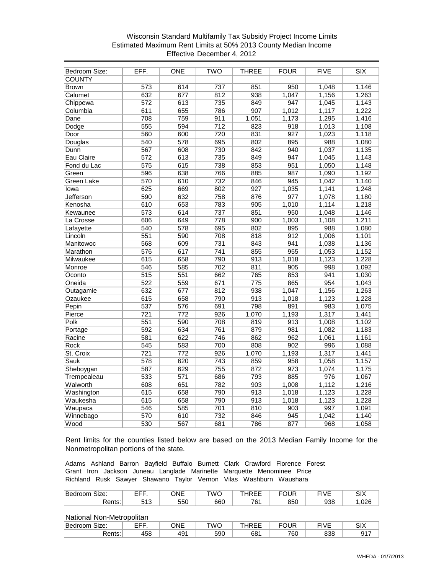# Wisconsin Standard Multifamily Tax Subsidy Project Income Limits Estimated Maximum Rent Limits at 50% 2013 County Median Income Effective December 4, 2012

| Bedroom Size:     | EFF.             | ONE              | <b>TWO</b>       | <b>THREE</b>     | <b>FOUR</b>      | <b>FIVE</b> | SIX   |
|-------------------|------------------|------------------|------------------|------------------|------------------|-------------|-------|
| <b>COUNTY</b>     |                  |                  |                  |                  |                  |             |       |
| <b>Brown</b>      | 573              | 614              | 737              | 851              | 950              | 1,048       | 1,146 |
| Calumet           | 632              | 677              | 812              | 938              | 1,047            | 1,156       | 1,263 |
| Chippewa          | 572              | 613              | 735              | 849              | 947              | 1,045       | 1,143 |
| Columbia          | 611              | 655              | 786              | 907              | 1,012            | 1,117       | 1,222 |
| Dane              | 708              | 759              | 911              | 1,051            | 1,173            | 1,295       | 1,416 |
| Dodge             | 555              | 594              | $\overline{712}$ | 823              | 918              | 1,013       | 1,108 |
| Door              | 560              | 600              | 720              | 831              | 927              | 1,023       | 1,118 |
| Douglas           | 540              | 578              | 695              | 802              | 895              | 988         | 1,080 |
| Dunn              | 567              | 608              | 730              | 842              | 940              | 1,037       | 1,135 |
| Eau Claire        | $\overline{572}$ | 613              | 735              | 849              | 947              | 1,045       | 1,143 |
| Fond du Lac       | 575              | 615              | 738              | 853              | 951              | 1,050       | 1,148 |
| Green             | 596              | 638              | 766              | 885              | 987              | 1,090       | 1,192 |
| <b>Green Lake</b> | 570              | 610              | 732              | 846              | 945              | 1,042       | 1,140 |
| lowa              | 625              | 669              | 802              | 927              | 1,035            | 1,141       | 1,248 |
| <b>Jefferson</b>  | 590              | 632              | 758              | 876              | 977              | 1,078       | 1,180 |
| Kenosha           | 610              | 653              | 783              | 905              | 1,010            | 1,114       | 1,218 |
| Kewaunee          | 573              | 614              | 737              | 851              | 950              | 1,048       | 1,146 |
| La Crosse         | 606              | 649              | 778              | 900              | 1,003            | 1,108       | 1,211 |
| Lafayette         | 540              | 578              | 695              | 802              | 895              | 988         | 1,080 |
| Lincoln           | 551              | 590              | 708              | 818              | 912              | 1,006       | 1,101 |
| Manitowoc         | 568              | 609              | 731              | 843              | 941              | 1,038       | 1,136 |
| Marathon          | 576              | 617              | 741              | 855              | 955              | 1,053       | 1,152 |
| Milwaukee         | 615              | 658              | 790              | $\overline{913}$ | 1,018            | 1,123       | 1,228 |
| Monroe            | 546              | 585              | 702              | 811              | 905              | 998         | 1,092 |
| Oconto            | $\overline{515}$ | 551              | 662              | 765              | 853              | 941         | 1,030 |
| Oneida            | 522              | 559              | 671              | 775              | 865              | 954         | 1,043 |
| Outagamie         | 632              | 677              | 812              | 938              | 1,047            | 1,156       | 1,263 |
| Ozaukee           | 615              | 658              | 790              | 913              | 1,018            | 1,123       | 1,228 |
| Pepin             | 537              | 576              | 691              | 798              | 891              | 983         | 1,075 |
| Pierce            | $\overline{721}$ | $\overline{772}$ | 926              | 1,070            | 1,193            | 1,317       | 1,441 |
| Polk              | 551              | 590              | 708              | 819              | $\overline{913}$ | 1,008       | 1,102 |
| Portage           | 592              | 634              | 761              | 879              | 981              | 1,082       | 1,183 |
| Racine            | 581              | $\overline{622}$ | 746              | 862              | 962              | 1,061       | 1,161 |
| <b>Rock</b>       | $\overline{545}$ | 583              | 700              | 808              | 902              | 996         | 1,088 |
| St. Croix         | 721              | 772              | 926              | 1,070            | 1,193            | 1,317       | 1,441 |
| Sauk              | 578              | 620              | 743              | 859              | 958              | 1,058       | 1,157 |
| Sheboygan         | 587              | 629              | 755              | 872              | 973              | 1,074       | 1,175 |
| Trempealeau       | 533              | 571              | 686              | 793              | 885              | 976         | 1,067 |
| Walworth          | 608              | 651              | 782              | 903              | 1,008            | 1,112       | 1,216 |
| Washington        | 615              | 658              | 790              | 913              | 1,018            | 1,123       | 1,228 |
| Waukesha          | 615              | 658              | 790              | 913              | 1,018            | 1,123       | 1,228 |
| Waupaca           | 546              | 585              | 701              | 810              | 903              | 997         | 1,091 |
| Winnebago         | 570              | 610              | 732              | 846              | 945              | 1,042       | 1,140 |
| Wood              | 530              | 567              | 681              | 786              | 877              | 968         | 1,058 |

Rent limits for the counties listed below are based on the 2013 Median Family Income for the Nonmetropolitan portions of the state.

Adams Ashland Barron Bayfield Buffalo Burnett Clark Crawford Florence Forest Grant Iron Jackson Juneau Langlade Marinette Marquette Menominee Price Richland Rusk Sawyer Shawano Taylor Vernon Vilas Washburn Waushara

| r<br>Size:<br>'Bedr<br>OON | ---        | . <b>.</b><br>)NF | TWC | $\sim$ $\sim$ $\sim$<br>ны<br>--<br>໋ | --- | --- --<br>$\mathbf{v}$ | <b>011/</b><br>∧וט |
|----------------------------|------------|-------------------|-----|---------------------------------------|-----|------------------------|--------------------|
| $n \cdot n + n$<br>senis.  | F A<br>◡╷◡ | --^<br>ხხს        | 660 | $\overline{\phantom{a}}$<br>. ט       | 850 | 938                    | റാമ<br>,vzc        |

| Be<br>Size:<br>ווטט<br> | ----<br>-- | ONE | TWO | $\sim$ $-$<br>໋ | FOUR | $-111$     | $\sim$<br>∧וט |
|-------------------------|------------|-----|-----|-----------------|------|------------|---------------|
| ≀ante∙<br>. גהוויסי     | 458        | 49' | 590 | 681             | 760  | 000<br>იაი | <b>047</b>    |